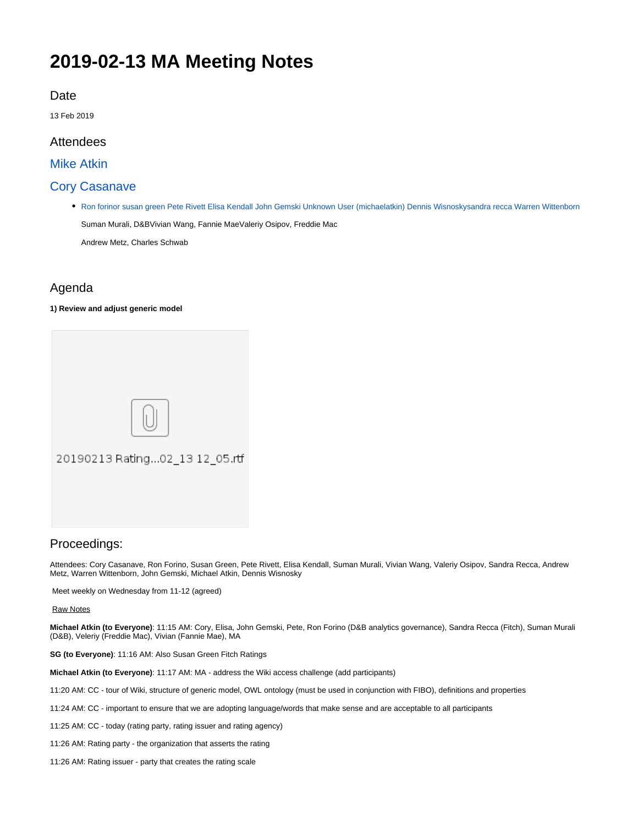# **2019-02-13 MA Meeting Notes**

# Date

13 Feb 2019

# Attendees

[Mike Atkin](https://wiki.edmcouncil.org/display/~atkin)

# [Cory Casanave](https://wiki.edmcouncil.org/display/~CoryCasanave)

[Ron forinor](https://wiki.edmcouncil.org/display/~Ronforinor) [susan green](https://wiki.edmcouncil.org/display/~susangreen) [Pete Rivett](https://wiki.edmcouncil.org/display/~rivettp) [Elisa Kendall](https://wiki.edmcouncil.org/display/~ElisaKendall) [John Gemski](https://wiki.edmcouncil.org/display/~jgemski) [Unknown User \(michaelatkin\)](https://wiki.edmcouncil.org/display/~michaelatkin) [Dennis Wisnosky](https://wiki.edmcouncil.org/display/~DennisWisnosky)[sandra recca](https://wiki.edmcouncil.org/display/~sandrarecca) [Warren Wittenborn](https://wiki.edmcouncil.org/display/~warrenwittenborn) Suman Murali, D&BVivian Wang, Fannie MaeValeriy Osipov, Freddie Mac

Andrew Metz, Charles Schwab

# Agenda

#### **1) Review and adjust generic model**



### Proceedings:

Attendees: Cory Casanave, Ron Forino, Susan Green, Pete Rivett, Elisa Kendall, Suman Murali, Vivian Wang, Valeriy Osipov, Sandra Recca, Andrew Metz, Warren Wittenborn, John Gemski, Michael Atkin, Dennis Wisnosky

Meet weekly on Wednesday from 11-12 (agreed)

#### Raw Notes

**Michael Atkin (to Everyone)**: 11:15 AM: Cory, Elisa, John Gemski, Pete, Ron Forino (D&B analytics governance), Sandra Recca (Fitch), Suman Murali (D&B), Veleriy (Freddie Mac), Vivian (Fannie Mae), MA

**SG (to Everyone)**: 11:16 AM: Also Susan Green Fitch Ratings

**Michael Atkin (to Everyone)**: 11:17 AM: MA - address the Wiki access challenge (add participants)

11:20 AM: CC - tour of Wiki, structure of generic model, OWL ontology (must be used in conjunction with FIBO), definitions and properties

- 11:24 AM: CC important to ensure that we are adopting language/words that make sense and are acceptable to all participants
- 11:25 AM: CC today (rating party, rating issuer and rating agency)
- 11:26 AM: Rating party the organization that asserts the rating
- 11:26 AM: Rating issuer party that creates the rating scale